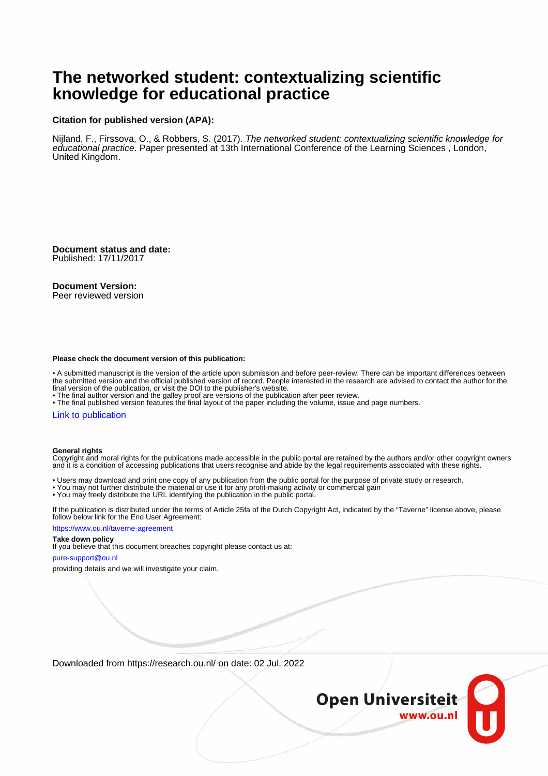# **The networked student: contextualizing scientific knowledge for educational practice**

### **Citation for published version (APA):**

Nijland, F., Firssova, O., & Robbers, S. (2017). The networked student: contextualizing scientific knowledge for educational practice. Paper presented at 13th International Conference of the Learning Sciences, London, United Kingdom.

**Document status and date:** Published: 17/11/2017

### **Document Version:**

Peer reviewed version

### **Please check the document version of this publication:**

• A submitted manuscript is the version of the article upon submission and before peer-review. There can be important differences between the submitted version and the official published version of record. People interested in the research are advised to contact the author for the final version of the publication, or visit the DOI to the publisher's website.

• The final author version and the galley proof are versions of the publication after peer review.

• The final published version features the final layout of the paper including the volume, issue and page numbers.

### [Link to publication](https://research.ou.nl/en/publications/0df66d82-8995-4c25-b941-7951cde91a3c)

### **General rights**

Copyright and moral rights for the publications made accessible in the public portal are retained by the authors and/or other copyright owners and it is a condition of accessing publications that users recognise and abide by the legal requirements associated with these rights.

- Users may download and print one copy of any publication from the public portal for the purpose of private study or research.
- You may not further distribute the material or use it for any profit-making activity or commercial gain
- You may freely distribute the URL identifying the publication in the public portal.

If the publication is distributed under the terms of Article 25fa of the Dutch Copyright Act, indicated by the "Taverne" license above, please follow below link for the End User Agreement:

### https://www.ou.nl/taverne-agreement

## **Take down policy**

If you believe that this document breaches copyright please contact us at:

### pure-support@ou.nl

providing details and we will investigate your claim.

Downloaded from https://research.ou.nl/ on date: 02 Jul. 2022

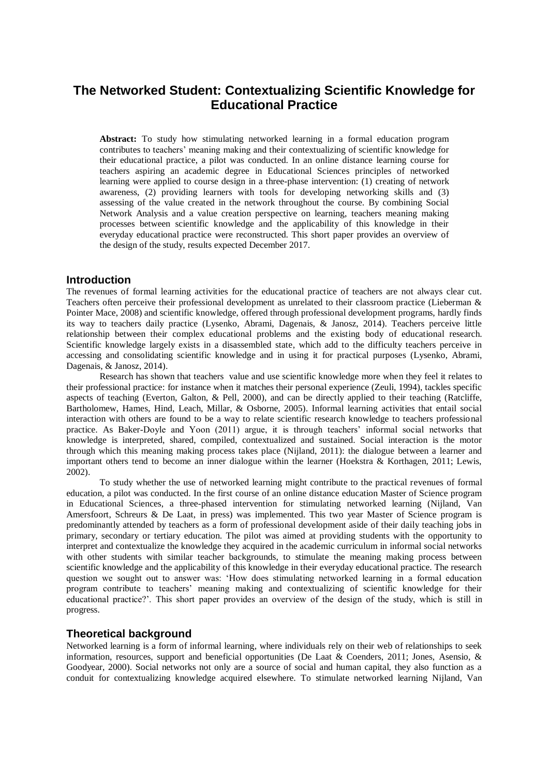## **The Networked Student: Contextualizing Scientific Knowledge for Educational Practice**

**Abstract:** To study how stimulating networked learning in a formal education program contributes to teachers' meaning making and their contextualizing of scientific knowledge for their educational practice, a pilot was conducted. In an online distance learning course for teachers aspiring an academic degree in Educational Sciences principles of networked learning were applied to course design in a three-phase intervention: (1) creating of network awareness, (2) providing learners with tools for developing networking skills and (3) assessing of the value created in the network throughout the course. By combining Social Network Analysis and a value creation perspective on learning, teachers meaning making processes between scientific knowledge and the applicability of this knowledge in their everyday educational practice were reconstructed. This short paper provides an overview of the design of the study, results expected December 2017.

## **Introduction**

The revenues of formal learning activities for the educational practice of teachers are not always clear cut. Teachers often perceive their professional development as unrelated to their classroom practice (Lieberman & Pointer Mace, 2008) and scientific knowledge, offered through professional development programs, hardly finds its way to teachers daily practice (Lysenko, Abrami, Dagenais, & Janosz, 2014). Teachers perceive little relationship between their complex educational problems and the existing body of educational research. Scientific knowledge largely exists in a disassembled state, which add to the difficulty teachers perceive in accessing and consolidating scientific knowledge and in using it for practical purposes (Lysenko, Abrami, Dagenais, & Janosz, 2014).

Research has shown that teachers value and use scientific knowledge more when they feel it relates to their professional practice: for instance when it matches their personal experience (Zeuli, 1994), tackles specific aspects of teaching (Everton, Galton, & Pell, 2000), and can be directly applied to their teaching (Ratcliffe, Bartholomew, Hames, Hind, Leach, Millar, & Osborne, 2005). Informal learning activities that entail social interaction with others are found to be a way to relate scientific research knowledge to teachers professional practice. As Baker-Doyle and Yoon (2011) argue, it is through teachers' informal social networks that knowledge is interpreted, shared, compiled, contextualized and sustained. Social interaction is the motor through which this meaning making process takes place (Nijland, 2011): the dialogue between a learner and important others tend to become an inner dialogue within the learner (Hoekstra & Korthagen, 2011; Lewis, 2002).

To study whether the use of networked learning might contribute to the practical revenues of formal education, a pilot was conducted. In the first course of an online distance education Master of Science program in Educational Sciences, a three-phased intervention for stimulating networked learning (Nijland, Van Amersfoort, Schreurs & De Laat, in press) was implemented. This two year Master of Science program is predominantly attended by teachers as a form of professional development aside of their daily teaching jobs in primary, secondary or tertiary education. The pilot was aimed at providing students with the opportunity to interpret and contextualize the knowledge they acquired in the academic curriculum in informal social networks with other students with similar teacher backgrounds, to stimulate the meaning making process between scientific knowledge and the applicability of this knowledge in their everyday educational practice. The research question we sought out to answer was: 'How does stimulating networked learning in a formal education program contribute to teachers' meaning making and contextualizing of scientific knowledge for their educational practice?'. This short paper provides an overview of the design of the study, which is still in progress.

## **Theoretical background**

Networked learning is a form of informal learning, where individuals rely on their web of relationships to seek information, resources, support and beneficial opportunities (De Laat & Coenders, 2011; Jones, Asensio, & Goodyear, 2000). Social networks not only are a source of social and human capital, they also function as a conduit for contextualizing knowledge acquired elsewhere. To stimulate networked learning Nijland, Van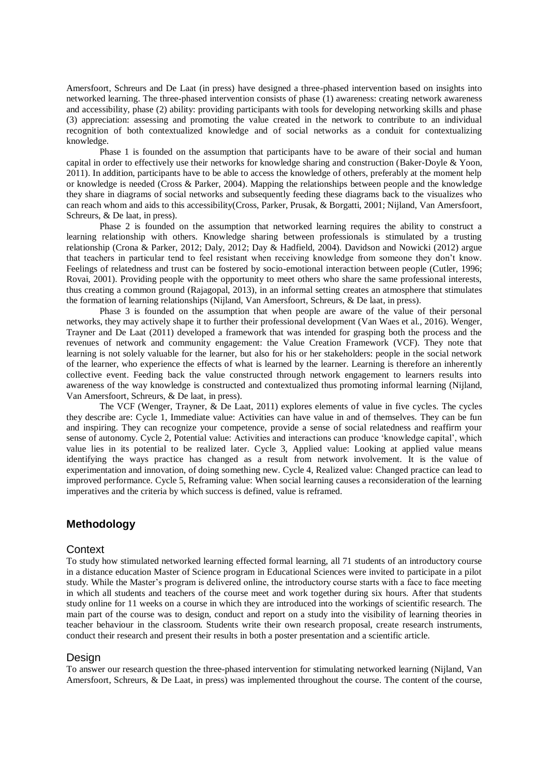Amersfoort, Schreurs and De Laat (in press) have designed a three-phased intervention based on insights into networked learning. The three-phased intervention consists of phase (1) awareness: creating network awareness and accessibility, phase (2) ability: providing participants with tools for developing networking skills and phase (3) appreciation: assessing and promoting the value created in the network to contribute to an individual recognition of both contextualized knowledge and of social networks as a conduit for contextualizing knowledge.

Phase 1 is founded on the assumption that participants have to be aware of their social and human capital in order to effectively use their networks for knowledge sharing and construction (Baker‐Doyle & Yoon, 2011). In addition, participants have to be able to access the knowledge of others, preferably at the moment help or knowledge is needed (Cross & Parker, 2004). Mapping the relationships between people and the knowledge they share in diagrams of social networks and subsequently feeding these diagrams back to the visualizes who can reach whom and aids to this accessibility(Cross, Parker, Prusak, & Borgatti, 2001; Nijland, Van Amersfoort, Schreurs, & De laat, in press).

Phase 2 is founded on the assumption that networked learning requires the ability to construct a learning relationship with others. Knowledge sharing between professionals is stimulated by a trusting relationship (Crona & Parker, 2012; Daly, 2012; Day & Hadfield, 2004). Davidson and Nowicki (2012) argue that teachers in particular tend to feel resistant when receiving knowledge from someone they don't know. Feelings of relatedness and trust can be fostered by socio-emotional interaction between people (Cutler, 1996; Rovai, 2001). Providing people with the opportunity to meet others who share the same professional interests, thus creating a common ground (Rajagopal, 2013), in an informal setting creates an atmosphere that stimulates the formation of learning relationships (Nijland, Van Amersfoort, Schreurs, & De laat, in press).

Phase 3 is founded on the assumption that when people are aware of the value of their personal networks, they may actively shape it to further their professional development (Van Waes et al., 2016). Wenger, Trayner and De Laat (2011) developed a framework that was intended for grasping both the process and the revenues of network and community engagement: the Value Creation Framework (VCF). They note that learning is not solely valuable for the learner, but also for his or her stakeholders: people in the social network of the learner, who experience the effects of what is learned by the learner. Learning is therefore an inherently collective event. Feeding back the value constructed through network engagement to learners results into awareness of the way knowledge is constructed and contextualized thus promoting informal learning (Nijland, Van Amersfoort, Schreurs, & De laat, in press).

The VCF (Wenger, Trayner, & De Laat, 2011) explores elements of value in five cycles. The cycles they describe are: Cycle 1, Immediate value: Activities can have value in and of themselves. They can be fun and inspiring. They can recognize your competence, provide a sense of social relatedness and reaffirm your sense of autonomy. Cycle 2, Potential value: Activities and interactions can produce 'knowledge capital', which value lies in its potential to be realized later. Cycle 3, Applied value: Looking at applied value means identifying the ways practice has changed as a result from network involvement. It is the value of experimentation and innovation, of doing something new. Cycle 4, Realized value: Changed practice can lead to improved performance. Cycle 5, Reframing value: When social learning causes a reconsideration of the learning imperatives and the criteria by which success is defined, value is reframed.

## **Methodology**

### **Context**

To study how stimulated networked learning effected formal learning, all 71 students of an introductory course in a distance education Master of Science program in Educational Sciences were invited to participate in a pilot study. While the Master's program is delivered online, the introductory course starts with a face to face meeting in which all students and teachers of the course meet and work together during six hours. After that students study online for 11 weeks on a course in which they are introduced into the workings of scientific research. The main part of the course was to design, conduct and report on a study into the visibility of learning theories in teacher behaviour in the classroom. Students write their own research proposal, create research instruments, conduct their research and present their results in both a poster presentation and a scientific article.

### Design

To answer our research question the three-phased intervention for stimulating networked learning (Nijland, Van Amersfoort, Schreurs, & De Laat, in press) was implemented throughout the course. The content of the course,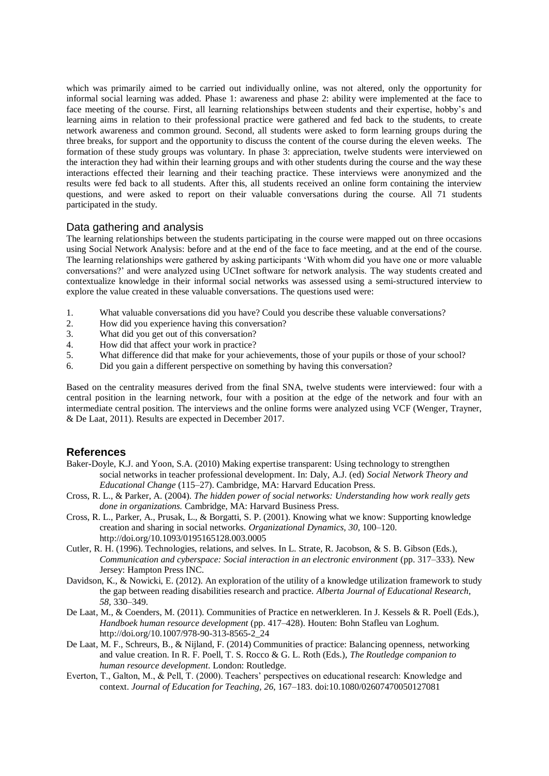which was primarily aimed to be carried out individually online, was not altered, only the opportunity for informal social learning was added. Phase 1: awareness and phase 2: ability were implemented at the face to face meeting of the course. First, all learning relationships between students and their expertise, hobby's and learning aims in relation to their professional practice were gathered and fed back to the students, to create network awareness and common ground. Second, all students were asked to form learning groups during the three breaks, for support and the opportunity to discuss the content of the course during the eleven weeks. The formation of these study groups was voluntary. In phase 3: appreciation, twelve students were interviewed on the interaction they had within their learning groups and with other students during the course and the way these interactions effected their learning and their teaching practice. These interviews were anonymized and the results were fed back to all students. After this, all students received an online form containing the interview questions, and were asked to report on their valuable conversations during the course. All 71 students participated in the study.

## Data gathering and analysis

The learning relationships between the students participating in the course were mapped out on three occasions using Social Network Analysis: before and at the end of the face to face meeting, and at the end of the course. The learning relationships were gathered by asking participants 'With whom did you have one or more valuable conversations?' and were analyzed using UCInet software for network analysis. The way students created and contextualize knowledge in their informal social networks was assessed using a semi-structured interview to explore the value created in these valuable conversations. The questions used were:

- 1. What valuable conversations did you have? Could you describe these valuable conversations?
- 2. How did you experience having this conversation?
- 3. What did you get out of this conversation?
- 4. How did that affect your work in practice?
- 5. What difference did that make for your achievements, those of your pupils or those of your school?
- 6. Did you gain a different perspective on something by having this conversation?

Based on the centrality measures derived from the final SNA, twelve students were interviewed: four with a central position in the learning network, four with a position at the edge of the network and four with an intermediate central position. The interviews and the online forms were analyzed using VCF (Wenger, Trayner, & De Laat, 2011). Results are expected in December 2017.

## **References**

- Baker-Doyle, K.J. and Yoon, S.A. (2010) Making expertise transparent: Using technology to strengthen social networks in teacher professional development. In: Daly, A.J. (ed) *Social Network Theory and Educational Change* (115–27). Cambridge, MA: Harvard Education Press.
- Cross, R. L., & Parker, A. (2004). *The hidden power of social networks: Understanding how work really gets done in organizations.* Cambridge, MA: Harvard Business Press.
- Cross, R. L., Parker, A., Prusak, L., & Borgatti, S. P. (2001). Knowing what we know: Supporting knowledge creation and sharing in social networks. *Organizational Dynamics, 30*, 100–120. http://doi.org/10.1093/0195165128.003.0005
- Cutler, R. H. (1996). Technologies, relations, and selves. In L. Strate, R. Jacobson, & S. B. Gibson (Eds.), *Communication and cyberspace: Social interaction in an electronic environment* (pp. 317–333). New Jersey: Hampton Press INC.
- Davidson, K., & Nowicki, E. (2012). An exploration of the utility of a knowledge utilization framework to study the gap between reading disabilities research and practice. *Alberta Journal of Educational Research, 58,* 330–349.
- De Laat, M., & Coenders, M. (2011). Communities of Practice en netwerkleren. In J. Kessels & R. Poell (Eds.), *Handboek human resource development* (pp. 417–428). Houten: Bohn Stafleu van Loghum. http://doi.org/10.1007/978-90-313-8565-2\_24
- De Laat, M. F., Schreurs, B., & Nijland, F. (2014) Communities of practice: Balancing openness, networking and value creation. In R. F. Poell, T. S. Rocco & G. L. Roth (Eds.), *The Routledge companion to human resource development*. London: Routledge.
- Everton, T., Galton, M., & Pell, T. (2000). Teachers' perspectives on educational research: Knowledge and context. *Journal of Education for Teaching, 26*, 167–183. doi:10.1080/02607470050127081